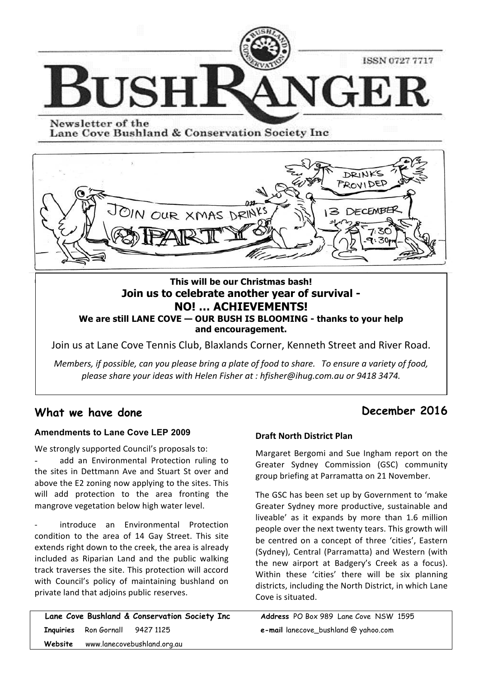

Newsletter of the Lane Cove Bushland & Conservation Society Inc



# **This will be our Christmas bash! Join us to celebrate another year of survival - NO! … ACHIEVEMENTS! We are still LANE COVE — OUR BUSH IS BLOOMING - thanks to your help and encouragement.**

Join us at Lane Cove Tennis Club, Blaxlands Corner, Kenneth Street and River Road.

*Members, if possible, can you please bring a plate of food to share.* To ensure a variety of food, *please share your ideas with Helen Fisher at : hfisher@ihug.com.au or 9418 3474.*

# **What we have done**

 $\mathbf i$ 

### **Amendments to Lane Cove LEP 2009**

We strongly supported Council's proposals to:

add an Environmental Protection ruling to the sites in Dettmann Ave and Stuart St over and above the E2 zoning now applying to the sites. This will add protection to the area fronting the mangrove vegetation below high water level.

introduce an Environmental Protection condition to the area of 14 Gay Street. This site extends right down to the creek, the area is already included as Riparian Land and the public walking track traverses the site. This protection will accord with Council's policy of maintaining bushland on private land that adjoins public reserves.

|                                     | Lane Cove Bushland & Conservation Society Inc |  |  |
|-------------------------------------|-----------------------------------------------|--|--|
| Inquiries Ron Gornall 9427 1125     |                                               |  |  |
| Website www.lanecovebushland.org.au |                                               |  |  |

# **December 2016**

### **Draft North District Plan**

**Example Strongly supported Council's proposals to:** Margaret Bergomi and Sue Ingham report on the to Greater Sydney Commission (GSC) community group briefing at Parramatta on 21 November.

> The GSC has been set up by Government to 'make Greater Sydney more productive, sustainable and liveable' as it expands by more than 1.6 million people over the next twenty tears. This growth will be centred on a concept of three 'cities', Eastern (Sydney), Central (Parramatta) and Western (with the new airport at Badgery's Creek as a focus). Within these 'cities' there will be six planning districts, including the North District, in which Lane Cove is situated.

**Address** PO Box 989 Lane Cove NSW 1595 **e-mail** lanecove\_bushland @ yahoo.com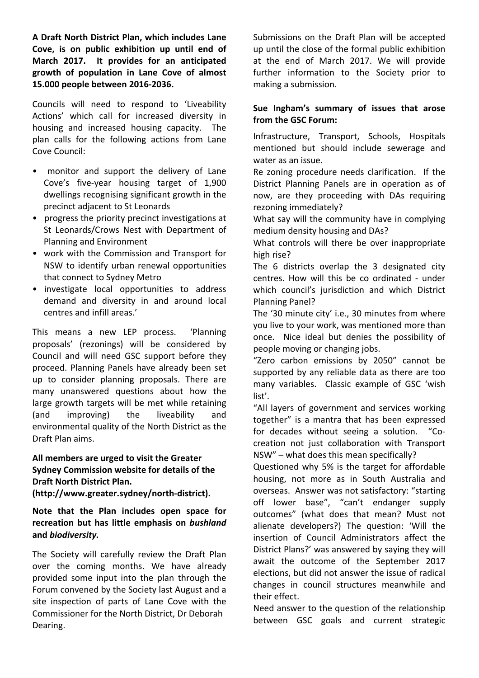A Draft North District Plan, which includes Lane Cove, is on public exhibition up until end of March 2017. It provides for an anticipated growth of population in Lane Cove of almost **15.000 people between 2016-2036.**

Councils will need to respond to 'Liveability Actions' which call for increased diversity in housing and increased housing capacity. The plan calls for the following actions from Lane Cove Council:

- monitor and support the delivery of Lane Cove's five-year housing target of 1,900 dwellings recognising significant growth in the precinct adjacent to St Leonards
- progress the priority precinct investigations at St Leonards/Crows Nest with Department of Planning and Environment
- work with the Commission and Transport for NSW to identify urban renewal opportunities that connect to Sydney Metro
- investigate local opportunities to address demand and diversity in and around local centres and infill areas.'

This means a new LEP process. 
'Planning proposals' (rezonings) will be considered by Council and will need GSC support before they proceed. Planning Panels have already been set up to consider planning proposals. There are many unanswered questions about how the large growth targets will be met while retaining (and improving) the liveability and environmental quality of the North District as the Draft Plan aims.

# All members are urged to visit the Greater **Sydney Commission website for details of the Draft North District Plan.**

**(http://www.greater.sydney/north-district).** 

## Note that the Plan includes open space for recreation but has little emphasis on *bushland* **and** *biodiversity.*

The Society will carefully review the Draft Plan over the coming months. We have already provided some input into the plan through the Forum convened by the Society last August and a site inspection of parts of Lane Cove with the Commissioner for the North District, Dr Deborah Dearing. 

Submissions on the Draft Plan will be accepted up until the close of the formal public exhibition at the end of March 2017. We will provide further information to the Society prior to making a submission.

### Sue Ingham's summary of issues that arose **from the GSC Forum:**

Infrastructure, Transport, Schools, Hospitals mentioned but should include sewerage and water as an issue.

Re zoning procedure needs clarification. If the District Planning Panels are in operation as of now, are they proceeding with DAs requiring rezoning immediately?

What say will the community have in complying medium density housing and DAs?

What controls will there be over inappropriate high rise?

The 6 districts overlap the 3 designated city centres. How will this be co ordinated - under which council's jurisdiction and which District Planning Panel?

The '30 minute city' i.e., 30 minutes from where you live to your work, was mentioned more than once. Nice ideal but denies the possibility of people moving or changing jobs.

"Zero carbon emissions by 2050" cannot be supported by any reliable data as there are too many variables. Classic example of GSC 'wish list'.

"All layers of government and services working together" is a mantra that has been expressed for decades without seeing a solution. "Cocreation not just collaboration with Transport  $NSW''$  – what does this mean specifically?

Questioned why 5% is the target for affordable housing, not more as in South Australia and overseas. Answer was not satisfactory: "starting off lower base", "can't endanger supply outcomes" (what does that mean? Must not alienate developers?) The question: 'Will the insertion of Council Administrators affect the District Plans?' was answered by saying they will await the outcome of the September 2017 elections, but did not answer the issue of radical changes in council structures meanwhile and their effect.

Need answer to the question of the relationship between GSC goals and current strategic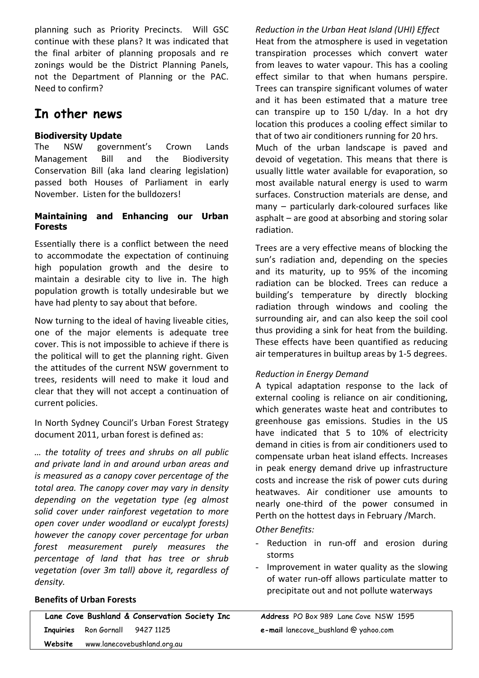planning such as Priority Precincts. Will GSC continue with these plans? It was indicated that the final arbiter of planning proposals and re zonings would be the District Planning Panels, not the Department of Planning or the PAC. Need to confirm?

# **In other news**

# **Biodiversity Update**

The NSW government's Crown Lands Management Bill and the Biodiversity Conservation Bill (aka land clearing legislation) passed both Houses of Parliament in early November. Listen for the bulldozers!

# **Maintaining and Enhancing our Urban Forests**

Essentially there is a conflict between the need to accommodate the expectation of continuing high population growth and the desire to maintain a desirable city to live in. The high population growth is totally undesirable but we have had plenty to say about that before.

Now turning to the ideal of having liveable cities, one of the major elements is adequate tree cover. This is not impossible to achieve if there is the political will to get the planning right. Given the attitudes of the current NSW government to trees, residents will need to make it loud and clear that they will not accept a continuation of current policies.

In North Sydney Council's Urban Forest Strategy document 2011, urban forest is defined as:

*… the totality of trees and shrubs on all public and private land in and around urban areas and is* measured as a canopy cover percentage of the *total area.* The canopy cover may vary in density depending on the vegetation type (eq almost solid cover under rainforest vegetation to more *open cover under woodland or eucalypt forests) however the canopy cover percentage for urban forest measurement purely measures the percentage of land that has tree or shrub vegetation (over 3m tall) above it, regardless of density.*

### **Benefits of Urban Forests**

*Reduction in the Urban Heat Island (UHI) Effect* Heat from the atmosphere is used in vegetation transpiration processes which convert water from leaves to water vapour. This has a cooling effect similar to that when humans perspire. Trees can transpire significant volumes of water and it has been estimated that a mature tree can transpire up to 150 L/day. In a hot dry location this produces a cooling effect similar to that of two air conditioners running for 20 hrs. Much of the urban landscape is paved and

devoid of vegetation. This means that there is usually little water available for evaporation, so most available natural energy is used to warm surfaces. Construction materials are dense, and  $m$ any – particularly dark-coloured surfaces like asphalt  $-$  are good at absorbing and storing solar radiation.

Trees are a very effective means of blocking the sun's radiation and, depending on the species and its maturity, up to 95% of the incoming radiation can be blocked. Trees can reduce a building's temperature by directly blocking radiation through windows and cooling the surrounding air, and can also keep the soil cool thus providing a sink for heat from the building. These effects have been quantified as reducing air temperatures in builtup areas by 1-5 degrees.

### *Reduction in Energy Demand*

A typical adaptation response to the lack of external cooling is reliance on air conditioning, which generates waste heat and contributes to greenhouse gas emissions. Studies in the US have indicated that 5 to 10% of electricity demand in cities is from air conditioners used to compensate urban heat island effects. Increases in peak energy demand drive up infrastructure costs and increase the risk of power cuts during heatwaves. Air conditioner use amounts to nearly one-third of the power consumed in Perth on the hottest days in February /March.

*Other Benefits:*

- Reduction in run-off and erosion during storms
- Improvement in water quality as the slowing of water run-off allows particulate matter to precipitate out and not pollute waterways

 **Website** www.lanecovebushland.org.au